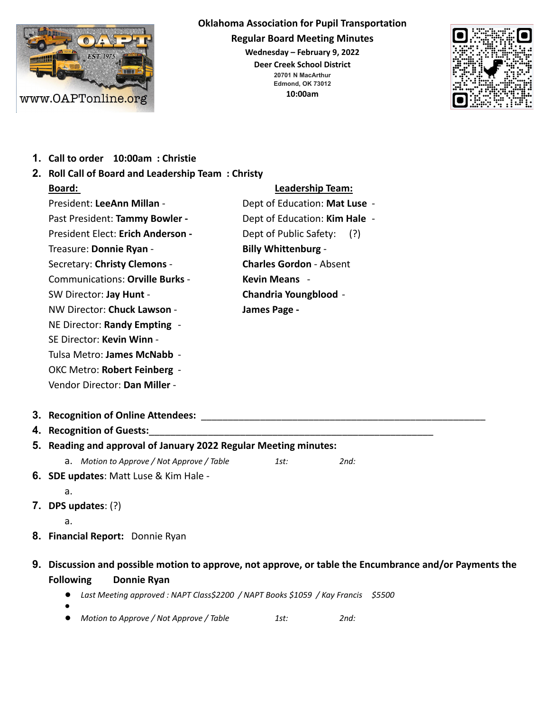

#### **Oklahoma Association for Pupil Transportation**

**Regular Board Meeting Minutes**

**Wednesday – February 9, 2022**

**Deer Creek School District 20701 N MacArthur Edmond, OK 73012 10:00am**



**1. Call to order 10:00am : Christie**

| 2. Roll Call of Board and Leadership Team: Christy               |                                |
|------------------------------------------------------------------|--------------------------------|
| <b>Board:</b>                                                    | <b>Leadership Team:</b>        |
| President: LeeAnn Millan -                                       | Dept of Education: Mat Luse -  |
| Past President: Tammy Bowler -                                   | Dept of Education: Kim Hale -  |
| President Elect: Erich Anderson -                                | Dept of Public Safety:<br>(?)  |
| Treasure: Donnie Ryan -                                          | <b>Billy Whittenburg -</b>     |
| Secretary: Christy Clemons -                                     | <b>Charles Gordon - Absent</b> |
| <b>Communications: Orville Burks -</b>                           | <b>Kevin Means -</b>           |
| SW Director: Jay Hunt -                                          | <b>Chandria Youngblood -</b>   |
| NW Director: Chuck Lawson -                                      | James Page -                   |
| NE Director: Randy Empting -                                     |                                |
| SE Director: Kevin Winn -                                        |                                |
| Tulsa Metro: James McNabb -                                      |                                |
| OKC Metro: Robert Feinberg -                                     |                                |
| Vendor Director: Dan Miller -                                    |                                |
| 3. Recognition of Online Attendees:                              |                                |
| 4. Recognition of Guests:                                        |                                |
| 5. Reading and approval of January 2022 Regular Meeting minutes: |                                |
| a. Motion to Approve / Not Approve / Table                       | 1st:<br>2nd:                   |
| 6. SDE updates: Matt Luse & Kim Hale -                           |                                |
| a.                                                               |                                |
| 7. DPS updates: $(?)$                                            |                                |
| a.                                                               |                                |

- **8. Financial Report:** Donnie Ryan
- **9. Discussion and possible motion to approve, not approve, or table the Encumbrance and/or Payments the Following Donnie Ryan**
	- *Last Meeting approved : NAPT Class\$2200 / NAPT Books \$1059 / Kay Francis \$5500*
	- *●*
	- *Motion to Approve / Not Approve / Table 1st: 2nd:*